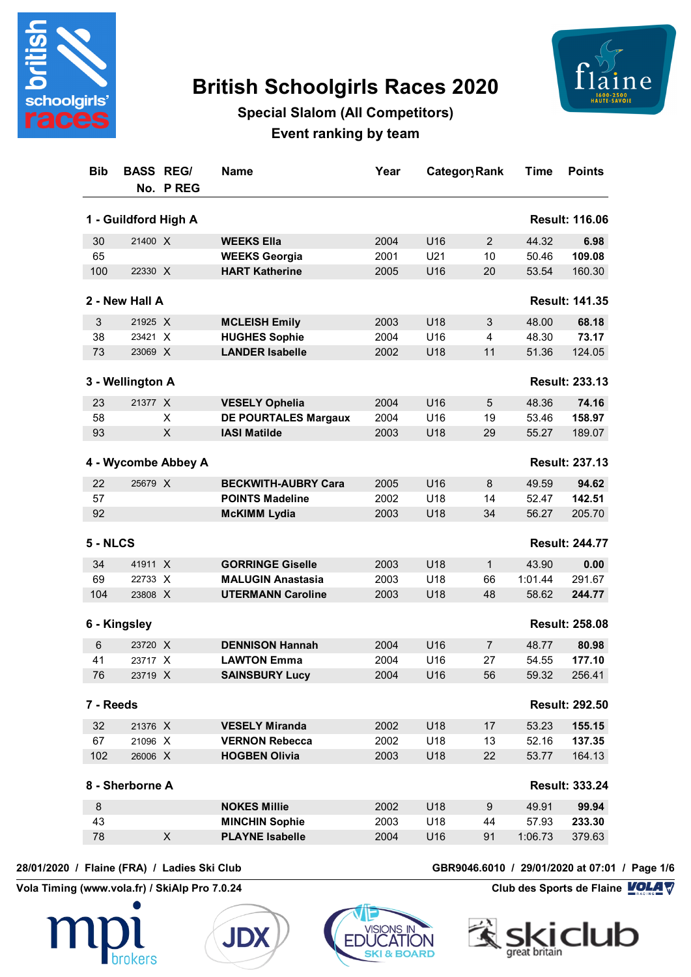

# **British Schoolgirls Races 2020**



## **Special Slalom (All Competitors) Event ranking by team**

| <b>Bib</b>                                    | <b>BASS REGI</b> | No. P REG           | <b>Name</b>                 | Year | Category Rank   |                | Time    | <b>Points</b>         |  |  |
|-----------------------------------------------|------------------|---------------------|-----------------------------|------|-----------------|----------------|---------|-----------------------|--|--|
| 1 - Guildford High A<br><b>Result: 116.06</b> |                  |                     |                             |      |                 |                |         |                       |  |  |
| 30                                            | 21400 X          |                     | <b>WEEKS Ella</b>           | 2004 | U <sub>16</sub> | 2              | 44.32   | 6.98                  |  |  |
| 65                                            |                  |                     | <b>WEEKS Georgia</b>        | 2001 | U21             | 10             | 50.46   | 109.08                |  |  |
| 100                                           | 22330 X          |                     | <b>HART Katherine</b>       | 2005 | U16             | 20             | 53.54   | 160.30                |  |  |
|                                               | 2 - New Hall A   |                     |                             |      |                 |                |         | <b>Result: 141.35</b> |  |  |
| $\mathsf 3$                                   | 21925 X          |                     | <b>MCLEISH Emily</b>        | 2003 | U18             | 3              | 48.00   | 68.18                 |  |  |
| 38                                            | 23421 X          |                     | <b>HUGHES Sophie</b>        | 2004 | U16             | 4              | 48.30   | 73.17                 |  |  |
| 73                                            | 23069 X          |                     | <b>LANDER Isabelle</b>      | 2002 | U18             | 11             | 51.36   | 124.05                |  |  |
|                                               | 3 - Wellington A |                     |                             |      |                 |                |         | <b>Result: 233.13</b> |  |  |
| 23                                            | 21377 X          |                     | <b>VESELY Ophelia</b>       | 2004 | U16             | 5              | 48.36   | 74.16                 |  |  |
| 58                                            |                  | X                   | <b>DE POURTALES Margaux</b> | 2004 | U16             | 19             | 53.46   | 158.97                |  |  |
| 93                                            |                  | X                   | <b>IASI Matilde</b>         | 2003 | U18             | 29             | 55.27   | 189.07                |  |  |
|                                               |                  | 4 - Wycombe Abbey A |                             |      |                 |                |         | <b>Result: 237.13</b> |  |  |
| 22                                            | 25679 X          |                     | <b>BECKWITH-AUBRY Cara</b>  | 2005 | U16             | 8              | 49.59   | 94.62                 |  |  |
| 57                                            |                  |                     | <b>POINTS Madeline</b>      | 2002 | U <sub>18</sub> | 14             | 52.47   | 142.51                |  |  |
| 92                                            |                  |                     | <b>McKIMM Lydia</b>         | 2003 | U18             | 34             | 56.27   | 205.70                |  |  |
| 5 - NLCS                                      |                  |                     |                             |      |                 |                |         | <b>Result: 244.77</b> |  |  |
| 34                                            | 41911 X          |                     | <b>GORRINGE Giselle</b>     | 2003 | U18             | $\mathbf{1}$   | 43.90   | 0.00                  |  |  |
| 69                                            | 22733 X          |                     | <b>MALUGIN Anastasia</b>    | 2003 | U18             | 66             | 1:01.44 | 291.67                |  |  |
| 104                                           | 23808 X          |                     | <b>UTERMANN Caroline</b>    | 2003 | U18             | 48             | 58.62   | 244.77                |  |  |
|                                               | 6 - Kingsley     |                     |                             |      |                 |                |         | <b>Result: 258.08</b> |  |  |
| 6                                             | 23720 X          |                     | <b>DENNISON Hannah</b>      | 2004 | U <sub>16</sub> | $\overline{7}$ | 48.77   | 80.98                 |  |  |
| 41                                            | 23717 X          |                     | <b>LAWTON Emma</b>          | 2004 | U16             | 27             | 54.55   | 177.10                |  |  |
| 76                                            | 23719 X          |                     | <b>SAINSBURY Lucy</b>       | 2004 | U <sub>16</sub> | 56             | 59.32   | 256.41                |  |  |
| 7 - Reeds                                     |                  |                     |                             |      |                 |                |         | <b>Result: 292.50</b> |  |  |
| 32                                            | 21376 X          |                     | <b>VESELY Miranda</b>       | 2002 | U18             | 17             | 53.23   | 155.15                |  |  |
| 67                                            | 21096 X          |                     | <b>VERNON Rebecca</b>       | 2002 | U18             | 13             | 52.16   | 137.35                |  |  |
| 102                                           | 26006 X          |                     | <b>HOGBEN Olivia</b>        | 2003 | U18             | 22             | 53.77   | 164.13                |  |  |
|                                               | 8 - Sherborne A  |                     |                             |      |                 |                |         | <b>Result: 333.24</b> |  |  |
| 8                                             |                  |                     | <b>NOKES Millie</b>         | 2002 | U18             | 9              | 49.91   | 99.94                 |  |  |
| 43                                            |                  |                     | <b>MINCHIN Sophie</b>       | 2003 | U18             | 44             | 57.93   | 233.30                |  |  |
| 78                                            |                  | $\pmb{\times}$      | <b>PLAYNE Isabelle</b>      | 2004 | U16             | 91             | 1:06.73 | 379.63                |  |  |
|                                               |                  |                     |                             |      |                 |                |         |                       |  |  |







**28/01/2020 / Flaine (FRA) / Ladies Ski Club GBR9046.6010 / 29/01/2020 at 07:01 / Page 1/6**

**Vola Timing (www.vola.fr) / SkiAlp Pro 7.0.24 Club des Sports de Flaine VOLA V** 

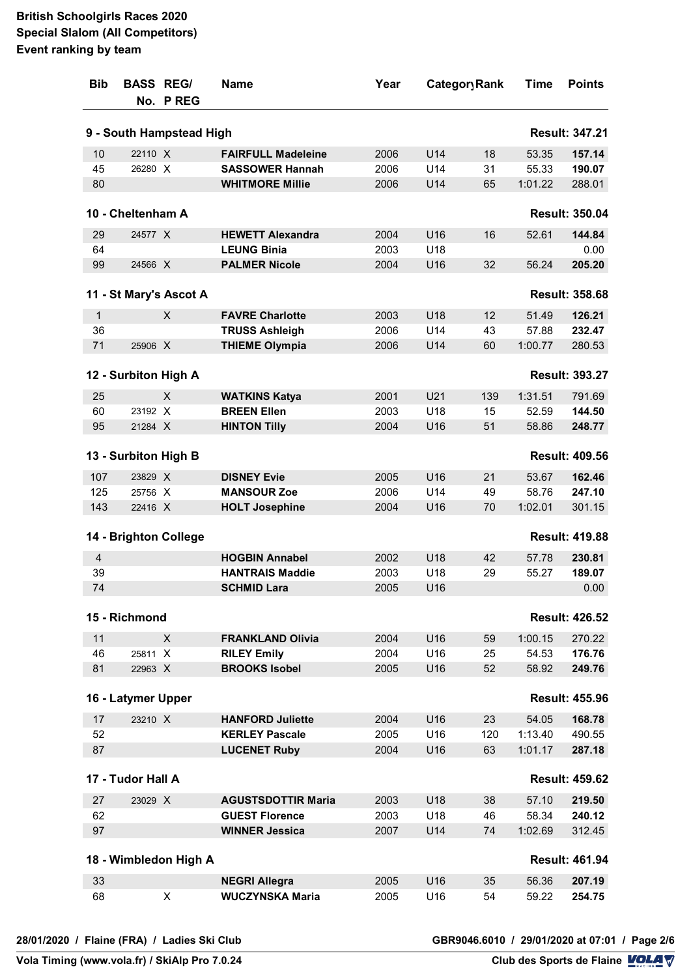| <b>Bib</b> | <b>BASS REGI</b>     | No. P REG                | <b>Name</b>               | Year | Category Rank   |     | Time    | <b>Points</b>         |
|------------|----------------------|--------------------------|---------------------------|------|-----------------|-----|---------|-----------------------|
|            |                      | 9 - South Hampstead High |                           |      |                 |     |         | <b>Result: 347.21</b> |
| 10         | 22110 X              |                          | <b>FAIRFULL Madeleine</b> | 2006 | U14             | 18  | 53.35   | 157.14                |
| 45         | 26280 X              |                          | <b>SASSOWER Hannah</b>    | 2006 | U14             | 31  | 55.33   | 190.07                |
| 80         |                      |                          | <b>WHITMORE Millie</b>    | 2006 | U14             | 65  | 1:01.22 | 288.01                |
|            | 10 - Cheltenham A    |                          |                           |      |                 |     |         | <b>Result: 350.04</b> |
| 29         | 24577 X              |                          | <b>HEWETT Alexandra</b>   | 2004 | U16             | 16  | 52.61   | 144.84                |
| 64         |                      |                          | <b>LEUNG Binia</b>        | 2003 | U18             |     |         | 0.00                  |
| 99         | 24566 X              |                          | <b>PALMER Nicole</b>      | 2004 | U16             | 32  | 56.24   | 205.20                |
|            |                      | 11 - St Mary's Ascot A   |                           |      |                 |     |         | <b>Result: 358.68</b> |
| 1          |                      | X                        | <b>FAVRE Charlotte</b>    | 2003 | U18             | 12  | 51.49   | 126.21                |
| 36         |                      |                          | <b>TRUSS Ashleigh</b>     | 2006 | U14             | 43  | 57.88   | 232.47                |
| 71         | 25906 X              |                          | <b>THIEME Olympia</b>     | 2006 | U14             | 60  | 1:00.77 | 280.53                |
|            | 12 - Surbiton High A |                          |                           |      |                 |     |         | <b>Result: 393.27</b> |
| 25         |                      | X                        | <b>WATKINS Katya</b>      | 2001 | U21             | 139 | 1:31.51 | 791.69                |
| 60         | 23192 X              |                          | <b>BREEN Ellen</b>        | 2003 | U18             | 15  | 52.59   | 144.50                |
| 95         | 21284 X              |                          | <b>HINTON Tilly</b>       | 2004 | U16             | 51  | 58.86   | 248.77                |
|            | 13 - Surbiton High B |                          |                           |      |                 |     |         | <b>Result: 409.56</b> |
| 107        | 23829 X              |                          | <b>DISNEY Evie</b>        | 2005 | U16             | 21  | 53.67   | 162.46                |
| 125        | 25756 X              |                          | <b>MANSOUR Zoe</b>        | 2006 | U14             | 49  | 58.76   | 247.10                |
| 143        | 22416 X              |                          | <b>HOLT Josephine</b>     | 2004 | U16             | 70  | 1:02.01 | 301.15                |
|            |                      | 14 - Brighton College    |                           |      |                 |     |         | <b>Result: 419.88</b> |
| 4          |                      |                          | <b>HOGBIN Annabel</b>     | 2002 | U <sub>18</sub> | 42  | 57.78   | 230.81                |
| 39         |                      |                          | <b>HANTRAIS Maddie</b>    | 2003 | U18             | 29  | 55.27   | 189.07                |
| 74         |                      |                          | <b>SCHMID Lara</b>        | 2005 | U16             |     |         | 0.00                  |
|            | 15 - Richmond        |                          |                           |      |                 |     |         | <b>Result: 426.52</b> |
| 11         |                      | X                        | <b>FRANKLAND Olivia</b>   | 2004 | U16             | 59  | 1:00.15 | 270.22                |
| 46         | 25811 X              |                          | <b>RILEY Emily</b>        | 2004 | U <sub>16</sub> | 25  | 54.53   | 176.76                |
| 81         | 22963 X              |                          | <b>BROOKS Isobel</b>      | 2005 | U <sub>16</sub> | 52  | 58.92   | 249.76                |
|            | 16 - Latymer Upper   |                          |                           |      |                 |     |         | <b>Result: 455.96</b> |
| 17         | 23210 X              |                          | <b>HANFORD Juliette</b>   | 2004 | U16             | 23  | 54.05   | 168.78                |
| 52         |                      |                          | <b>KERLEY Pascale</b>     | 2005 | U16             | 120 | 1:13.40 | 490.55                |
| 87         |                      |                          | <b>LUCENET Ruby</b>       | 2004 | U16             | 63  | 1:01.17 | 287.18                |
|            | 17 - Tudor Hall A    |                          |                           |      |                 |     |         | <b>Result: 459.62</b> |
| 27         | 23029 X              |                          | <b>AGUSTSDOTTIR Maria</b> | 2003 | U <sub>18</sub> | 38  | 57.10   | 219.50                |
| 62         |                      |                          | <b>GUEST Florence</b>     | 2003 | U18             | 46  | 58.34   | 240.12                |
| 97         |                      |                          | <b>WINNER Jessica</b>     | 2007 | U14             | 74  | 1:02.69 | 312.45                |
|            |                      | 18 - Wimbledon High A    |                           |      |                 |     |         | <b>Result: 461.94</b> |
| 33         |                      |                          | <b>NEGRI Allegra</b>      | 2005 | U <sub>16</sub> | 35  | 56.36   | 207.19                |
| 68         |                      | X                        | <b>WUCZYNSKA Maria</b>    | 2005 | U16             | 54  | 59.22   | 254.75                |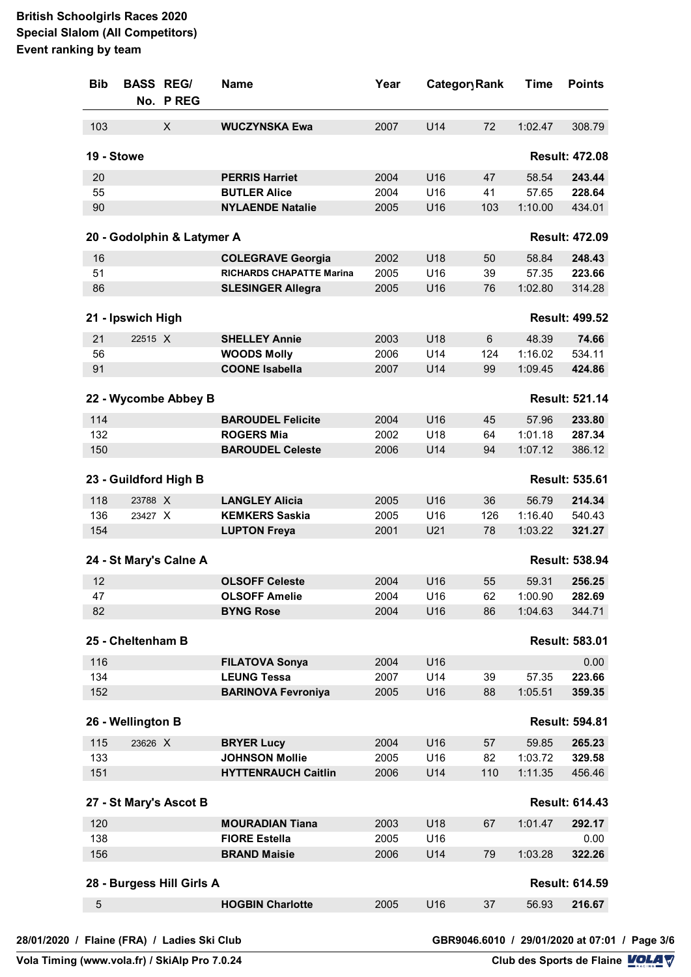| <b>Bib</b>  | <b>BASS REGI</b>  | No. P REG                  | <b>Name</b>                     | Year |     | Category Rank |         | <b>Points</b>         |
|-------------|-------------------|----------------------------|---------------------------------|------|-----|---------------|---------|-----------------------|
| 103         |                   | X                          | <b>WUCZYNSKA Ewa</b>            | 2007 | U14 | 72            | 1:02.47 | 308.79                |
|             | 19 - Stowe        |                            |                                 |      |     |               |         | <b>Result: 472.08</b> |
| 20          |                   |                            | <b>PERRIS Harriet</b>           | 2004 | U16 | 47            | 58.54   | 243.44                |
| 55          |                   |                            | <b>BUTLER Alice</b>             | 2004 | U16 | 41            | 57.65   | 228.64                |
| 90          |                   |                            | <b>NYLAENDE Natalie</b>         | 2005 | U16 | 103           | 1:10.00 | 434.01                |
|             |                   | 20 - Godolphin & Latymer A |                                 |      |     |               |         | <b>Result: 472.09</b> |
| 16          |                   |                            | <b>COLEGRAVE Georgia</b>        | 2002 | U18 | 50            | 58.84   | 248.43                |
| 51          |                   |                            | <b>RICHARDS CHAPATTE Marina</b> | 2005 | U16 | 39            | 57.35   | 223.66                |
| 86          |                   |                            | <b>SLESINGER Allegra</b>        | 2005 | U16 | 76            | 1:02.80 | 314.28                |
|             | 21 - Ipswich High |                            |                                 |      |     |               |         | <b>Result: 499.52</b> |
| 21          | 22515 X           |                            | <b>SHELLEY Annie</b>            | 2003 | U18 | 6             | 48.39   | 74.66                 |
| 56          |                   |                            | <b>WOODS Molly</b>              | 2006 | U14 | 124           | 1:16.02 | 534.11                |
| 91          |                   |                            | <b>COONE Isabella</b>           | 2007 | U14 | 99            | 1:09.45 | 424.86                |
|             |                   | 22 - Wycombe Abbey B       |                                 |      |     |               |         | <b>Result: 521.14</b> |
| 114         |                   |                            | <b>BAROUDEL Felicite</b>        | 2004 | U16 | 45            | 57.96   | 233.80                |
| 132         |                   |                            | <b>ROGERS Mia</b>               | 2002 | U18 | 64            | 1:01.18 | 287.34                |
| 150         |                   |                            | <b>BAROUDEL Celeste</b>         | 2006 | U14 | 94            | 1:07.12 | 386.12                |
|             |                   | 23 - Guildford High B      |                                 |      |     |               |         | <b>Result: 535.61</b> |
| 118         | 23788 X           |                            | <b>LANGLEY Alicia</b>           | 2005 | U16 | 36            | 56.79   | 214.34                |
| 136         | 23427 X           |                            | <b>KEMKERS Saskia</b>           | 2005 | U16 | 126           | 1:16.40 | 540.43                |
| 154         |                   |                            | <b>LUPTON Freya</b>             | 2001 | U21 | 78            | 1:03.22 | 321.27                |
|             |                   | 24 - St Mary's Calne A     |                                 |      |     |               |         | <b>Result: 538.94</b> |
| 12          |                   |                            | <b>OLSOFF Celeste</b>           | 2004 | U16 | 55            | 59.31   | 256.25                |
| 47          |                   |                            | <b>OLSOFF Amelie</b>            | 2004 | U16 | 62            | 1:00.90 | 282.69                |
| 82          |                   |                            | <b>BYNG Rose</b>                | 2004 | U16 | 86            | 1:04.63 | 344.71                |
|             | 25 - Cheltenham B |                            |                                 |      |     |               |         | <b>Result: 583.01</b> |
| 116         |                   |                            | <b>FILATOVA Sonya</b>           | 2004 | U16 |               |         | 0.00                  |
| 134         |                   |                            | <b>LEUNG Tessa</b>              | 2007 | U14 | 39            | 57.35   | 223.66                |
| 152         |                   |                            | <b>BARINOVA Fevroniya</b>       | 2005 | U16 | 88            | 1:05.51 | 359.35                |
|             | 26 - Wellington B |                            |                                 |      |     |               |         | <b>Result: 594.81</b> |
| 115         | 23626 X           |                            | <b>BRYER Lucy</b>               | 2004 | U16 | 57            | 59.85   | 265.23                |
| 133         |                   |                            | <b>JOHNSON Mollie</b>           | 2005 | U16 | 82            | 1:03.72 | 329.58                |
| 151         |                   |                            | <b>HYTTENRAUCH Caitlin</b>      | 2006 | U14 | 110           | 1:11.35 | 456.46                |
|             |                   | 27 - St Mary's Ascot B     |                                 |      |     |               |         | <b>Result: 614.43</b> |
| 120         |                   |                            | <b>MOURADIAN Tiana</b>          | 2003 | U18 | 67            | 1:01.47 | 292.17                |
| 138         |                   |                            | <b>FIORE Estella</b>            | 2005 | U16 |               |         | 0.00                  |
| 156         |                   |                            | <b>BRAND Maisie</b>             | 2006 | U14 | 79            | 1:03.28 | 322.26                |
|             |                   | 28 - Burgess Hill Girls A  |                                 |      |     |               |         | <b>Result: 614.59</b> |
| $\mathbf 5$ |                   |                            | <b>HOGBIN Charlotte</b>         | 2005 | U16 | 37            | 56.93   | 216.67                |
|             |                   |                            |                                 |      |     |               |         |                       |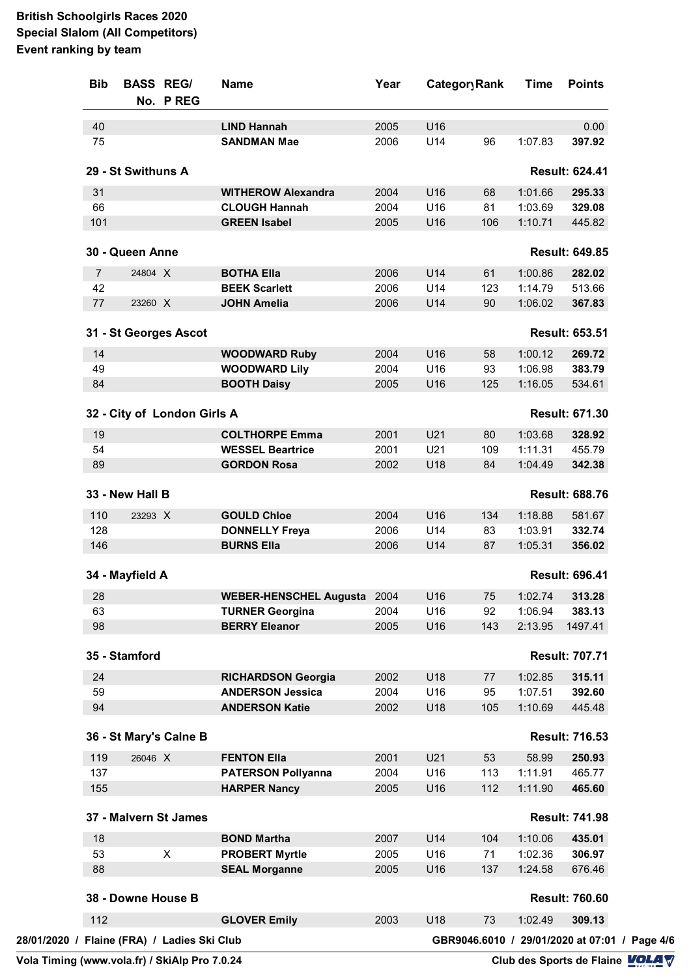| 40<br>U16<br><b>LIND Hannah</b><br>2005<br><b>SANDMAN Mae</b><br>2006<br>U14<br>1:07.83<br>75<br>96<br>29 - St Swithuns A<br>31<br><b>WITHEROW Alexandra</b><br>1:01.66<br>2004<br>U16<br>68<br><b>CLOUGH Hannah</b><br>U16<br>1:03.69<br>66<br>2004<br>81<br>101<br><b>GREEN Isabel</b><br>U16<br>2005<br>106<br>1:10.71<br>30 - Queen Anne<br>U14<br>1:00.86<br>$\overline{7}$<br>24804 X<br><b>BOTHA Ella</b><br>2006<br>61<br>42<br><b>BEEK Scarlett</b><br>2006<br>U14<br>123<br>1:14.79<br>23260 X<br>U14<br>1:06.02<br>77<br><b>JOHN Amelia</b><br>2006<br>90<br>31 - St Georges Ascot<br>U16<br>14<br><b>WOODWARD Ruby</b><br>2004<br>58<br>1:00.12<br>49<br><b>WOODWARD Lily</b><br>U16<br>93<br>1:06.98<br>2004<br>84<br><b>BOOTH Daisy</b><br>2005<br>U16<br>125<br>1:16.05<br>32 - City of London Girls A<br><b>COLTHORPE Emma</b><br>2001<br>U21<br>1:03.68<br>19<br>80<br>54<br>U21<br><b>WESSEL Beartrice</b><br>2001<br>109<br>1:11.31<br>89<br>U18<br>84<br><b>GORDON Rosa</b><br>2002<br>1:04.49<br>33 - New Hall B<br>U16<br>110<br>23293 X<br><b>GOULD Chloe</b><br>2004<br>134<br>1:18.88<br>128<br>U14<br>1:03.91<br><b>DONNELLY Freya</b><br>2006<br>83<br><b>BURNS Ella</b><br>2006<br>U14<br>146<br>87<br>1:05.31<br>34 - Mayfield A<br>28<br>WEBER-HENSCHEL Augusta 2004<br>U16<br>75<br>U16<br>1:06.94<br>63<br><b>TURNER Georgina</b><br>2004<br>92 | 0.00<br>397.92<br><b>Result: 624.41</b><br>295.33<br>329.08<br>445.82<br><b>Result: 649.85</b><br>282.02<br>513.66<br>367.83<br><b>Result: 653.51</b><br>269.72<br>383.79<br>534.61<br><b>Result: 671.30</b><br>328.92<br>455.79<br>342.38<br><b>Result: 688.76</b> |
|---------------------------------------------------------------------------------------------------------------------------------------------------------------------------------------------------------------------------------------------------------------------------------------------------------------------------------------------------------------------------------------------------------------------------------------------------------------------------------------------------------------------------------------------------------------------------------------------------------------------------------------------------------------------------------------------------------------------------------------------------------------------------------------------------------------------------------------------------------------------------------------------------------------------------------------------------------------------------------------------------------------------------------------------------------------------------------------------------------------------------------------------------------------------------------------------------------------------------------------------------------------------------------------------------------------------------------------------------------------------------------|---------------------------------------------------------------------------------------------------------------------------------------------------------------------------------------------------------------------------------------------------------------------|
|                                                                                                                                                                                                                                                                                                                                                                                                                                                                                                                                                                                                                                                                                                                                                                                                                                                                                                                                                                                                                                                                                                                                                                                                                                                                                                                                                                                 |                                                                                                                                                                                                                                                                     |
|                                                                                                                                                                                                                                                                                                                                                                                                                                                                                                                                                                                                                                                                                                                                                                                                                                                                                                                                                                                                                                                                                                                                                                                                                                                                                                                                                                                 |                                                                                                                                                                                                                                                                     |
|                                                                                                                                                                                                                                                                                                                                                                                                                                                                                                                                                                                                                                                                                                                                                                                                                                                                                                                                                                                                                                                                                                                                                                                                                                                                                                                                                                                 |                                                                                                                                                                                                                                                                     |
|                                                                                                                                                                                                                                                                                                                                                                                                                                                                                                                                                                                                                                                                                                                                                                                                                                                                                                                                                                                                                                                                                                                                                                                                                                                                                                                                                                                 |                                                                                                                                                                                                                                                                     |
|                                                                                                                                                                                                                                                                                                                                                                                                                                                                                                                                                                                                                                                                                                                                                                                                                                                                                                                                                                                                                                                                                                                                                                                                                                                                                                                                                                                 |                                                                                                                                                                                                                                                                     |
|                                                                                                                                                                                                                                                                                                                                                                                                                                                                                                                                                                                                                                                                                                                                                                                                                                                                                                                                                                                                                                                                                                                                                                                                                                                                                                                                                                                 |                                                                                                                                                                                                                                                                     |
|                                                                                                                                                                                                                                                                                                                                                                                                                                                                                                                                                                                                                                                                                                                                                                                                                                                                                                                                                                                                                                                                                                                                                                                                                                                                                                                                                                                 |                                                                                                                                                                                                                                                                     |
|                                                                                                                                                                                                                                                                                                                                                                                                                                                                                                                                                                                                                                                                                                                                                                                                                                                                                                                                                                                                                                                                                                                                                                                                                                                                                                                                                                                 |                                                                                                                                                                                                                                                                     |
|                                                                                                                                                                                                                                                                                                                                                                                                                                                                                                                                                                                                                                                                                                                                                                                                                                                                                                                                                                                                                                                                                                                                                                                                                                                                                                                                                                                 |                                                                                                                                                                                                                                                                     |
|                                                                                                                                                                                                                                                                                                                                                                                                                                                                                                                                                                                                                                                                                                                                                                                                                                                                                                                                                                                                                                                                                                                                                                                                                                                                                                                                                                                 |                                                                                                                                                                                                                                                                     |
|                                                                                                                                                                                                                                                                                                                                                                                                                                                                                                                                                                                                                                                                                                                                                                                                                                                                                                                                                                                                                                                                                                                                                                                                                                                                                                                                                                                 |                                                                                                                                                                                                                                                                     |
|                                                                                                                                                                                                                                                                                                                                                                                                                                                                                                                                                                                                                                                                                                                                                                                                                                                                                                                                                                                                                                                                                                                                                                                                                                                                                                                                                                                 |                                                                                                                                                                                                                                                                     |
|                                                                                                                                                                                                                                                                                                                                                                                                                                                                                                                                                                                                                                                                                                                                                                                                                                                                                                                                                                                                                                                                                                                                                                                                                                                                                                                                                                                 |                                                                                                                                                                                                                                                                     |
|                                                                                                                                                                                                                                                                                                                                                                                                                                                                                                                                                                                                                                                                                                                                                                                                                                                                                                                                                                                                                                                                                                                                                                                                                                                                                                                                                                                 |                                                                                                                                                                                                                                                                     |
|                                                                                                                                                                                                                                                                                                                                                                                                                                                                                                                                                                                                                                                                                                                                                                                                                                                                                                                                                                                                                                                                                                                                                                                                                                                                                                                                                                                 |                                                                                                                                                                                                                                                                     |
|                                                                                                                                                                                                                                                                                                                                                                                                                                                                                                                                                                                                                                                                                                                                                                                                                                                                                                                                                                                                                                                                                                                                                                                                                                                                                                                                                                                 |                                                                                                                                                                                                                                                                     |
|                                                                                                                                                                                                                                                                                                                                                                                                                                                                                                                                                                                                                                                                                                                                                                                                                                                                                                                                                                                                                                                                                                                                                                                                                                                                                                                                                                                 |                                                                                                                                                                                                                                                                     |
|                                                                                                                                                                                                                                                                                                                                                                                                                                                                                                                                                                                                                                                                                                                                                                                                                                                                                                                                                                                                                                                                                                                                                                                                                                                                                                                                                                                 |                                                                                                                                                                                                                                                                     |
|                                                                                                                                                                                                                                                                                                                                                                                                                                                                                                                                                                                                                                                                                                                                                                                                                                                                                                                                                                                                                                                                                                                                                                                                                                                                                                                                                                                 |                                                                                                                                                                                                                                                                     |
|                                                                                                                                                                                                                                                                                                                                                                                                                                                                                                                                                                                                                                                                                                                                                                                                                                                                                                                                                                                                                                                                                                                                                                                                                                                                                                                                                                                 | 581.67                                                                                                                                                                                                                                                              |
|                                                                                                                                                                                                                                                                                                                                                                                                                                                                                                                                                                                                                                                                                                                                                                                                                                                                                                                                                                                                                                                                                                                                                                                                                                                                                                                                                                                 | 332.74                                                                                                                                                                                                                                                              |
|                                                                                                                                                                                                                                                                                                                                                                                                                                                                                                                                                                                                                                                                                                                                                                                                                                                                                                                                                                                                                                                                                                                                                                                                                                                                                                                                                                                 | 356.02                                                                                                                                                                                                                                                              |
|                                                                                                                                                                                                                                                                                                                                                                                                                                                                                                                                                                                                                                                                                                                                                                                                                                                                                                                                                                                                                                                                                                                                                                                                                                                                                                                                                                                 | <b>Result: 696.41</b>                                                                                                                                                                                                                                               |
|                                                                                                                                                                                                                                                                                                                                                                                                                                                                                                                                                                                                                                                                                                                                                                                                                                                                                                                                                                                                                                                                                                                                                                                                                                                                                                                                                                                 | 1:02.74 313.28                                                                                                                                                                                                                                                      |
|                                                                                                                                                                                                                                                                                                                                                                                                                                                                                                                                                                                                                                                                                                                                                                                                                                                                                                                                                                                                                                                                                                                                                                                                                                                                                                                                                                                 | 383.13                                                                                                                                                                                                                                                              |
| 98<br><b>BERRY Eleanor</b><br>2005<br>U16<br>143<br>2:13.95                                                                                                                                                                                                                                                                                                                                                                                                                                                                                                                                                                                                                                                                                                                                                                                                                                                                                                                                                                                                                                                                                                                                                                                                                                                                                                                     | 1497.41                                                                                                                                                                                                                                                             |
| 35 - Stamford                                                                                                                                                                                                                                                                                                                                                                                                                                                                                                                                                                                                                                                                                                                                                                                                                                                                                                                                                                                                                                                                                                                                                                                                                                                                                                                                                                   | <b>Result: 707.71</b>                                                                                                                                                                                                                                               |
| U18<br>24<br><b>RICHARDSON Georgia</b><br>2002<br>1:02.85<br>77                                                                                                                                                                                                                                                                                                                                                                                                                                                                                                                                                                                                                                                                                                                                                                                                                                                                                                                                                                                                                                                                                                                                                                                                                                                                                                                 | 315.11                                                                                                                                                                                                                                                              |
| 59<br><b>ANDERSON Jessica</b><br>U16<br>2004<br>95<br>1:07.51                                                                                                                                                                                                                                                                                                                                                                                                                                                                                                                                                                                                                                                                                                                                                                                                                                                                                                                                                                                                                                                                                                                                                                                                                                                                                                                   | 392.60                                                                                                                                                                                                                                                              |
| 94<br>U18<br>105<br><b>ANDERSON Katie</b><br>2002<br>1:10.69                                                                                                                                                                                                                                                                                                                                                                                                                                                                                                                                                                                                                                                                                                                                                                                                                                                                                                                                                                                                                                                                                                                                                                                                                                                                                                                    | 445.48                                                                                                                                                                                                                                                              |
| 36 - St Mary's Calne B                                                                                                                                                                                                                                                                                                                                                                                                                                                                                                                                                                                                                                                                                                                                                                                                                                                                                                                                                                                                                                                                                                                                                                                                                                                                                                                                                          | <b>Result: 716.53</b>                                                                                                                                                                                                                                               |
| 119<br>U21<br>26046 X<br><b>FENTON Ella</b><br>2001<br>53<br>58.99                                                                                                                                                                                                                                                                                                                                                                                                                                                                                                                                                                                                                                                                                                                                                                                                                                                                                                                                                                                                                                                                                                                                                                                                                                                                                                              | 250.93                                                                                                                                                                                                                                                              |
| 137<br>U16<br>113<br>1:11.91<br><b>PATERSON Pollyanna</b><br>2004                                                                                                                                                                                                                                                                                                                                                                                                                                                                                                                                                                                                                                                                                                                                                                                                                                                                                                                                                                                                                                                                                                                                                                                                                                                                                                               | 465.77                                                                                                                                                                                                                                                              |
| 155<br>U16<br>112<br><b>HARPER Nancy</b><br>2005<br>1:11.90                                                                                                                                                                                                                                                                                                                                                                                                                                                                                                                                                                                                                                                                                                                                                                                                                                                                                                                                                                                                                                                                                                                                                                                                                                                                                                                     | 465.60                                                                                                                                                                                                                                                              |
| 37 - Malvern St James                                                                                                                                                                                                                                                                                                                                                                                                                                                                                                                                                                                                                                                                                                                                                                                                                                                                                                                                                                                                                                                                                                                                                                                                                                                                                                                                                           | <b>Result: 741.98</b>                                                                                                                                                                                                                                               |
| 18<br><b>BOND Martha</b><br>2007<br>U14<br>104<br>1:10.06                                                                                                                                                                                                                                                                                                                                                                                                                                                                                                                                                                                                                                                                                                                                                                                                                                                                                                                                                                                                                                                                                                                                                                                                                                                                                                                       | 435.01                                                                                                                                                                                                                                                              |
| X<br>53<br>U16<br>71<br>1:02.36<br><b>PROBERT Myrtle</b><br>2005                                                                                                                                                                                                                                                                                                                                                                                                                                                                                                                                                                                                                                                                                                                                                                                                                                                                                                                                                                                                                                                                                                                                                                                                                                                                                                                | 306.97                                                                                                                                                                                                                                                              |
| 88<br><b>SEAL Morganne</b><br>U16<br>2005<br>137<br>1:24.58                                                                                                                                                                                                                                                                                                                                                                                                                                                                                                                                                                                                                                                                                                                                                                                                                                                                                                                                                                                                                                                                                                                                                                                                                                                                                                                     | 676.46                                                                                                                                                                                                                                                              |
| 38 - Downe House B                                                                                                                                                                                                                                                                                                                                                                                                                                                                                                                                                                                                                                                                                                                                                                                                                                                                                                                                                                                                                                                                                                                                                                                                                                                                                                                                                              |                                                                                                                                                                                                                                                                     |
| 112<br>U18<br><b>GLOVER Emily</b><br>2003<br>73<br>1:02.49                                                                                                                                                                                                                                                                                                                                                                                                                                                                                                                                                                                                                                                                                                                                                                                                                                                                                                                                                                                                                                                                                                                                                                                                                                                                                                                      | <b>Result: 760.60</b>                                                                                                                                                                                                                                               |
| 28/01/2020 / Flaine (FRA) / Ladies Ski Club<br>GBR9046.6010 / 29/01/2020 at 07:01 / Page 4/6                                                                                                                                                                                                                                                                                                                                                                                                                                                                                                                                                                                                                                                                                                                                                                                                                                                                                                                                                                                                                                                                                                                                                                                                                                                                                    | 309.13                                                                                                                                                                                                                                                              |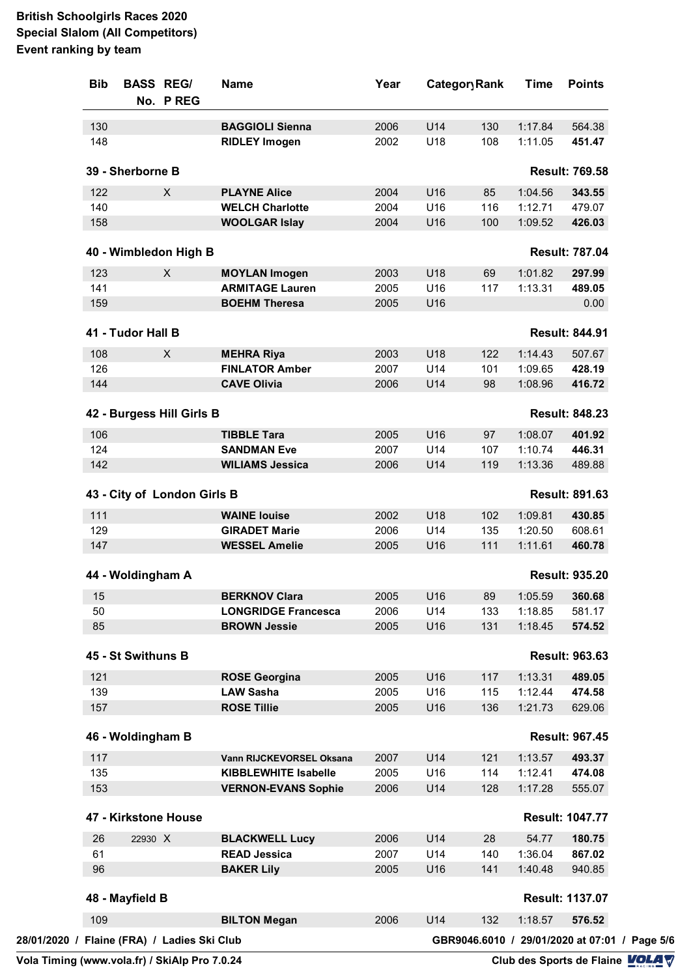| <b>Bib</b>           |         | <b>BASS REG/</b><br>No. P REG               | Name                        | Year | Category Rank |     | Time           | <b>Points</b>                                 |
|----------------------|---------|---------------------------------------------|-----------------------------|------|---------------|-----|----------------|-----------------------------------------------|
| 130                  |         |                                             | <b>BAGGIOLI Sienna</b>      | 2006 | U14           | 130 | 1:17.84        | 564.38                                        |
| 148                  |         |                                             | <b>RIDLEY Imogen</b>        | 2002 | U18           | 108 | 1:11.05        | 451.47                                        |
| 39 - Sherborne B     |         |                                             |                             |      |               |     |                | <b>Result: 769.58</b>                         |
| 122                  |         | X                                           | <b>PLAYNE Alice</b>         | 2004 | U16           | 85  | 1:04.56        | 343.55                                        |
| 140                  |         |                                             | <b>WELCH Charlotte</b>      | 2004 | U16           | 116 | 1:12.71        | 479.07                                        |
| 158                  |         |                                             | <b>WOOLGAR Islay</b>        | 2004 | U16           | 100 | 1:09.52        | 426.03                                        |
|                      |         | 40 - Wimbledon High B                       |                             |      |               |     |                | <b>Result: 787.04</b>                         |
| 123                  |         | X                                           | <b>MOYLAN Imogen</b>        | 2003 | U18           | 69  | 1:01.82        | 297.99                                        |
| 141                  |         |                                             | <b>ARMITAGE Lauren</b>      | 2005 | U16           | 117 | 1:13.31        | 489.05                                        |
| 159                  |         |                                             | <b>BOEHM Theresa</b>        | 2005 | U16           |     |                | 0.00                                          |
| 41 - Tudor Hall B    |         |                                             |                             |      |               |     |                | <b>Result: 844.91</b>                         |
| 108                  |         | X                                           | <b>MEHRA Riya</b>           | 2003 | U18           | 122 | 1:14.43        | 507.67                                        |
| 126                  |         |                                             | <b>FINLATOR Amber</b>       | 2007 | U14           | 101 | 1:09.65        | 428.19                                        |
| 144                  |         |                                             | <b>CAVE Olivia</b>          | 2006 | U14           | 98  | 1:08.96        | 416.72                                        |
|                      |         | 42 - Burgess Hill Girls B                   |                             |      |               |     |                | <b>Result: 848.23</b>                         |
| 106                  |         |                                             | <b>TIBBLE Tara</b>          | 2005 | U16           | 97  | 1:08.07        | 401.92                                        |
| 124                  |         |                                             | <b>SANDMAN Eve</b>          | 2007 | U14           | 107 | 1:10.74        | 446.31                                        |
| 142                  |         |                                             | <b>WILIAMS Jessica</b>      | 2006 | U14           | 119 | 1:13.36        | 489.88                                        |
| 111                  |         | 43 - City of London Girls B                 | <b>WAINE louise</b>         | 2002 | U18           | 102 | 1:09.81        | <b>Result: 891.63</b><br>430.85               |
| 129                  |         |                                             | <b>GIRADET Marie</b>        | 2006 | U14           | 135 | 1:20.50        | 608.61                                        |
| 147                  |         |                                             | <b>WESSEL Amelie</b>        | 2005 | U16           | 111 | 1:11.61        | 460.78                                        |
| 44 - Woldingham A    |         |                                             |                             |      |               |     |                | <b>Result: 935.20</b>                         |
| 15                   |         |                                             | <b>BERKNOV Clara</b>        | 2005 | U16           | 89  | 1:05.59 360.68 |                                               |
| 50                   |         |                                             | <b>LONGRIDGE Francesca</b>  | 2006 | U14           | 133 | 1:18.85        | 581.17                                        |
| 85                   |         |                                             | <b>BROWN Jessie</b>         | 2005 | U16           | 131 | 1:18.45        | 574.52                                        |
| 45 - St Swithuns B   |         |                                             |                             |      |               |     |                | <b>Result: 963.63</b>                         |
| 121                  |         |                                             | <b>ROSE Georgina</b>        | 2005 | U16           | 117 | 1:13.31        | 489.05                                        |
| 139                  |         |                                             | <b>LAW Sasha</b>            | 2005 | U16           | 115 | 1:12.44        | 474.58                                        |
| 157                  |         |                                             | <b>ROSE Tillie</b>          | 2005 | U16           | 136 | 1:21.73        | 629.06                                        |
| 46 - Woldingham B    |         |                                             |                             |      |               |     |                | <b>Result: 967.45</b>                         |
| 117                  |         |                                             | Vann RIJCKEVORSEL Oksana    | 2007 | U14           | 121 | 1:13.57        | 493.37                                        |
| 135                  |         |                                             | <b>KIBBLEWHITE Isabelle</b> | 2005 | U16           | 114 | 1:12.41        | 474.08                                        |
| 153                  |         |                                             | <b>VERNON-EVANS Sophie</b>  | 2006 | U14           | 128 | 1:17.28        | 555.07                                        |
| 47 - Kirkstone House |         |                                             |                             |      |               |     |                | <b>Result: 1047.77</b>                        |
| 26                   | 22930 X |                                             | <b>BLACKWELL Lucy</b>       | 2006 | U14           | 28  | 54.77          | 180.75                                        |
| 61                   |         |                                             | <b>READ Jessica</b>         | 2007 | U14           | 140 | 1:36.04        | 867.02                                        |
| 96                   |         |                                             | <b>BAKER Lily</b>           | 2005 | U16           | 141 | 1:40.48        | 940.85                                        |
| 48 - Mayfield B      |         |                                             |                             |      |               |     |                | <b>Result: 1137.07</b>                        |
| 109                  |         |                                             | <b>BILTON Megan</b>         | 2006 | U14           | 132 | 1:18.57        | 576.52                                        |
|                      |         | 28/01/2020 / Flaine (FRA) / Ladies Ski Club |                             |      |               |     |                | GBR9046.6010 / 29/01/2020 at 07:01 / Page 5/6 |